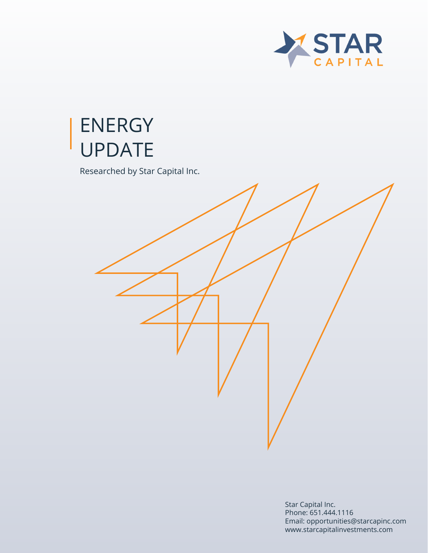

# ENERGY UPDATE

Researched by Star Capital Inc.

Star Capital Inc. Phone: 651.444.1116 Email: opportunities@starcapinc.com www.starcapitalinvestments.com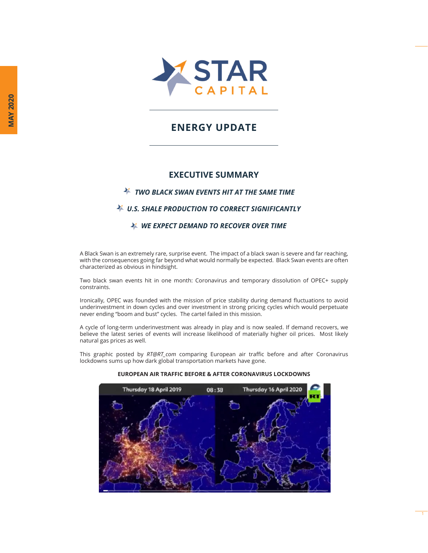

# **ENERGY UPDATE**

### **EXECUTIVE SUMMARY**

#### *TWO BLACK SWAN EVENTS HIT AT THE SAME TIME*

## *U.S. SHALE PRODUCTION TO CORRECT SIGNIFICANTLY*

#### *WE EXPECT DEMAND TO RECOVER OVER TIME*

A Black Swan is an extremely rare, surprise event. The impact of a black swan is severe and far reaching, with the consequences going far beyond what would normally be expected. Black Swan events are often characterized as obvious in hindsight.

Two black swan events hit in one month: Coronavirus and temporary dissolution of OPEC+ supply constraints.

Ironically, OPEC was founded with the mission of price stability during demand fluctuations to avoid underinvestment in down cycles and over investment in strong pricing cycles which would perpetuate never ending "boom and bust" cycles. The cartel failed in this mission.

A cycle of long-term underinvestment was already in play and is now sealed. If demand recovers, we believe the latest series of events will increase likelihood of materially higher oil prices. Most likely natural gas prices as well.

This graphic posted by *RT@RT\_com* comparing European air traffic before and after Coronavirus lockdowns sums up how dark global transportation markets have gone.



1

#### **EUROPEAN AIR TRAFFIC BEFORE & AFTER CORONAVIRUS LOCKDOWNS**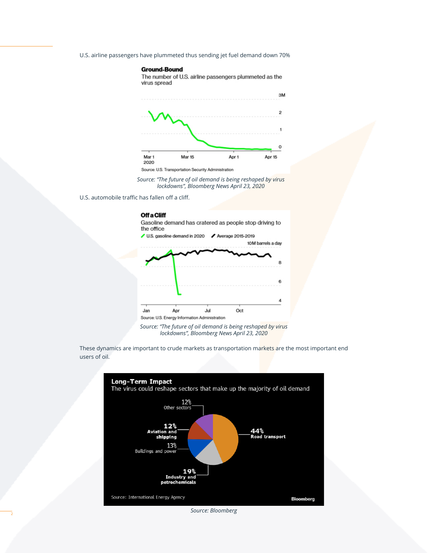U.S. airline passengers have plummeted thus sending jet fuel demand down 70%

#### **Ground-Bound**

The number of U.S. airline passengers plummeted as the virus spread



Source: U.S. Transportation Security Administration

*Source: "The future of oil demand is being reshaped by virus lockdowns", Bloomberg News April 23, 2020*

U.S. automobile traffic has fallen off a cliff.

#### **Off a Cliff**

Gasoline demand has cratered as people stop driving to the office



*Source: "The future of oil demand is being reshaped by virus lockdowns", Bloomberg News April 23, 2020*

These dynamics are important to crude markets as transportation markets are the most important end users of oil.



*Source: Bloomberg*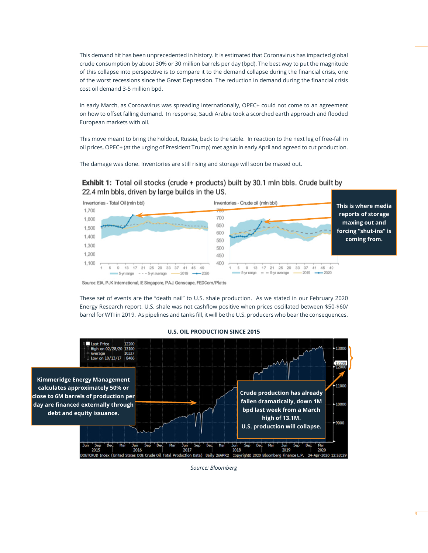This demand hit has been unprecedented in history. It is estimated that Coronavirus has impacted global crude consumption by about 30% or 30 million barrels per day (bpd). The best way to put the magnitude of this collapse into perspective is to compare it to the demand collapse during the financial crisis, one of the worst recessions since the Great Depression. The reduction in demand during the financial crisis cost oil demand 3-5 million bpd.

In early March, as Coronavirus was spreading Internationally, OPEC+ could not come to an agreement on how to offset falling demand. In response, Saudi Arabia took a scorched earth approach and flooded European markets with oil.

This move meant to bring the holdout, Russia, back to the table. In reaction to the next leg of free-fall in oil prices, OPEC+ (at the urging of President Trump) met again in early April and agreed to cut production.

The damage was done. Inventories are still rising and storage will soon be maxed out.

#### **Exhibit 1:** Total oil stocks (crude + products) built by 30.1 mln bbls. Crude built by 22.4 mln bbls, driven by large builds in the US.



Source: EIA, PJK International, IE Singapore, PAJ, Genscape, FEDCom/Platts

These set of events are the "death nail" to U.S. shale production. As we stated in our February 2020 Energy Research report, U.S. shale was not cashflow positive when prices oscillated between \$50-\$60/ barrel for WTI in 2019. As pipelines and tanks fill, it will be the U.S. producers who bear the consequences.

#### **Last Price** 12200 ligh on 02/28/20 13100  $+$  Average<br>  $\perp$  Low on 10/13/17 10327 8406 **Kimmeridge Energy Management**  11000 **calculates approximately 50% or Crude production has already close to 6M barrels of production per fallen dramatically, down 1M**  10000 day are financed externally through **bpd last week from a March debt and equity issuance. high of 13.1M.** 9000 **U.S. production will collapse.**Ser Dec **Jun** Cor 2017 2018 2019 2020

#### **U.S. OIL PRODUCTION SINCE 2015**

*Source: Bloomberg*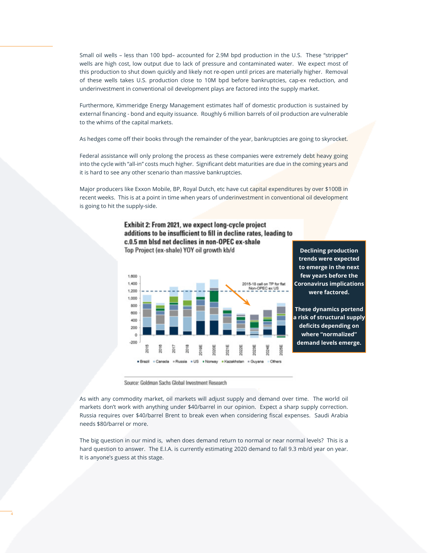Small oil wells – less than 100 bpd– accounted for 2.9M bpd production in the U.S. These "stripper" wells are high cost, low output due to lack of pressure and contaminated water. We expect most of this production to shut down quickly and likely not re-open until prices are materially higher. Removal of these wells takes U.S. production close to 10M bpd before bankruptcies, cap-ex reduction, and underinvestment in conventional oil development plays are factored into the supply market.

Furthermore, Kimmeridge Energy Management estimates half of domestic production is sustained by external financing - bond and equity issuance. Roughly 6 million barrels of oil production are vulnerable to the whims of the capital markets.

As hedges come off their books through the remainder of the year, bankruptcies are going to skyrocket.

Federal assistance will only prolong the process as these companies were extremely debt heavy going into the cycle with "all-in" costs much higher. Significant debt maturities are due in the coming years and it is hard to see any other scenario than massive bankruptcies.

Major producers like Exxon Mobile, BP, Royal Dutch, etc have cut capital expenditures by over \$100B in recent weeks. This is at a point in time when years of underinvestment in conventional oil development is going to hit the supply-side.





**Declining production trends were expected to emerge in the next few years before the Coronavirus implications were factored.**

**These dynamics portend a risk of structural supply**  deficits depending on **where "normalized" demand levels emerge.**

Source: Goldman Sachs Global Investment Research

As with any commodity market, oil markets will adjust supply and demand over time. The world oil markets don't work with anything under \$40/barrel in our opinion. Expect a sharp supply correction. Russia requires over \$40/barrel Brent to break even when considering fiscal expenses. Saudi Arabia needs \$80/barrel or more.

The big question in our mind is, when does demand return to normal or near normal levels? This is a hard question to answer. The E.I.A. is currently estimating 2020 demand to fall 9.3 mb/d year on year. It is anyone's guess at this stage.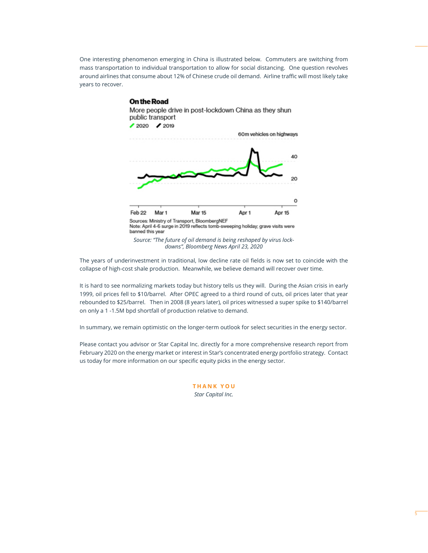One interesting phenomenon emerging in China is illustrated below. Commuters are switching from mass transportation to individual transportation to allow for social distancing. One question revolves around airlines that consume about 12% of Chinese crude oil demand. Airline traffic will most likely take years to recover.

#### **On the Road**



The years of underinvestment in traditional, low decline rate oil fields is now set to coincide with the collapse of high-cost shale production. Meanwhile, we believe demand will recover over time.

It is hard to see normalizing markets today but history tells us they will. During the Asian crisis in early 1999, oil prices fell to \$10/barrel. After OPEC agreed to a third round of cuts, oil prices later that year rebounded to \$25/barrel. Then in 2008 (8 years later), oil prices witnessed a super spike to \$140/barrel on only a 1 -1.5M bpd shortfall of production relative to demand.

In summary, we remain optimistic on the longer-term outlook for select securities in the energy sector.

Please contact you advisor or Star Capital Inc. directly for a more comprehensive research report from February 2020 on the energy market or interest in Star's concentrated energy portfolio strategy. Contact us today for more information on our specific equity picks in the energy sector.

> **THANK YOU** *Star Capital Inc.*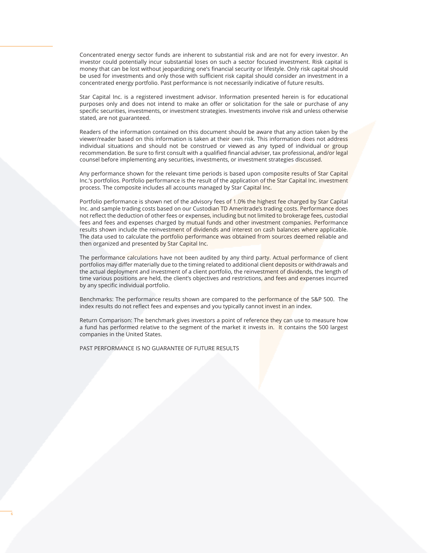Concentrated energy sector funds are inherent to substantial risk and are not for every investor. An investor could potentially incur substantial loses on such a sector focused investment. Risk capital is money that can be lost without jeopardizing one's financial security or lifestyle. Only risk capital should be used for investments and only those with sufficient risk capital should consider an investment in a concentrated energy portfolio. Past performance is not necessarily indicative of future results.

Star Capital Inc. is a registered investment advisor. Information presented herein is for educational purposes only and does not intend to make an offer or solicitation for the sale or purchase of any specific securities, investments, or investment strategies. Investments involve risk and unless otherwise stated, are not guaranteed.

Readers of the information contained on this document should be aware that any action taken by the viewer/reader based on this information is taken at their own risk. This information does not address individual situations and should not be construed or viewed as any typed of individual or group recommendation. Be sure to first consult with a qualified financial adviser, tax professional, and/or legal counsel before implementing any securities, investments, or investment strategies discussed.

Any performance shown for the relevant time periods is based upon composite results of Star Capital Inc.'s portfolios. Portfolio performance is the result of the application of the Star Capital Inc. investment process. The composite includes all accounts managed by Star Capital Inc.

Portfolio performance is shown net of the advisory fees of 1.0% the highest fee charged by Star Capital Inc. and sample trading costs based on our Custodian TD Ameritrade's trading costs. Performance does not reflect the deduction of other fees or expenses, including but not limited to brokerage fees, custodial fees and fees and expenses charged by mutual funds and other investment companies. Performance results shown include the reinvestment of dividends and interest on cash balances where applicable. The data used to calculate the portfolio performance was obtained from sources deemed reliable and then organized and presented by Star Capital Inc.

The performance calculations have not been audited by any third party. Actual performance of client portfolios may differ materially due to the timing related to additional client deposits or withdrawals and the actual deployment and investment of a client portfolio, the reinvestment of dividends, the length of time various positions are held, the client's objectives and restrictions, and fees and expenses incurred by any specific individual portfolio.

Benchmarks: The performance results shown are compared to the performance of the S&P 500. The index results do not reflect fees and expenses and you typically cannot invest in an index.

Return Comparison: The benchmark gives investors a point of reference they can use to measure how a fund has performed relative to the segment of the market it invests in. It contains the 500 largest companies in the United States.

PAST PERFORMANCE IS NO GUARANTEE OF FUTURE RESULTS